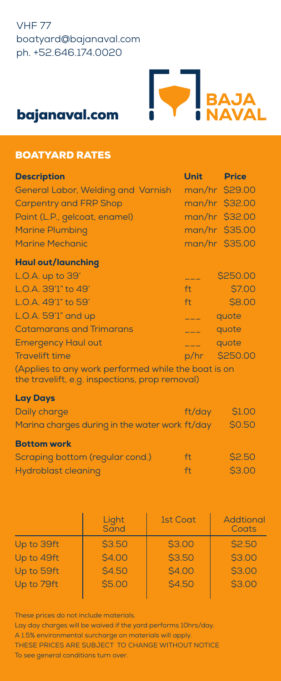## VHF 77 boatyard@bajanaval.com ph. +52.646.174.0020



# bajanaval.com

## BOATYARD RATES

| <b>Description</b>                 | <b>Unit</b> | <b>Price</b>   |
|------------------------------------|-------------|----------------|
| General Labor, Welding and Varnish |             | man/hr \$29.00 |
| <b>Carpentry and FRP Shop</b>      |             | man/hr \$32.00 |
| Paint (L.P., gelcoat, enamel)      |             | man/hr \$32.00 |
| <b>Marine Plumbing</b>             |             | man/hr \$35.00 |
| <b>Marine Mechanic</b>             |             | man/hr \$35.00 |
| <b>Haul out/launching</b>          |             |                |
| L.O.A. up to 39'                   |             | \$250.00       |
| L.O.A. 39'1" to 49'                | ft i        | <b>\$7.00</b>  |
| L.O.A. 49'1" to 59'                | ft          | \$8.00         |
| L.O.A. 59'1" and up                |             | quote          |
| <b>Catamarans and Trimarans</b>    |             | quote          |
| <b>Emergency Haul out</b>          | $---$       | quote          |
| <b>Travelift time</b>              | p/hr        | \$250.00       |

(Applies to any work performed while the boat is on the travelift, e.g. inspections, prop removal)

## Lay Days

| Daily charge                                   | ft/day       | <b>\$1.00</b> |
|------------------------------------------------|--------------|---------------|
| Marina charges during in the water work ft/day | <b>SO.50</b> |               |
| <b>Bottom work</b>                             |              |               |
| Scraping bottom (regular cond.)                | ft           | <b>\$2.50</b> |
| Hydroblast cleaning                            | ft.          | <b>\$3.00</b> |

|            | Light<br>Sand | <b>1st Coat</b> | Addtional<br>Coats |
|------------|---------------|-----------------|--------------------|
| Up to 39ft | <b>\$3.50</b> | \$3.00          | <b>\$2.50</b>      |
| Up to 49ft | <b>\$4.00</b> | <b>\$3.50</b>   | \$3.00             |
| Up to 59ft | <b>\$4.50</b> | \$4.00          | \$3.00             |
| Up to 79ft | \$5.00        | <b>\$4.50</b>   | \$3.00             |
|            |               |                 |                    |

These prices do not include materials.

Lay day charges will be waived if the yard performs 10hrs/day. A 1.5% environmental surcharge on materials will apply. THESE PRICES ARE SUBJECT TO CHANGE WITHOUT NOTICE To see general conditions turn over.